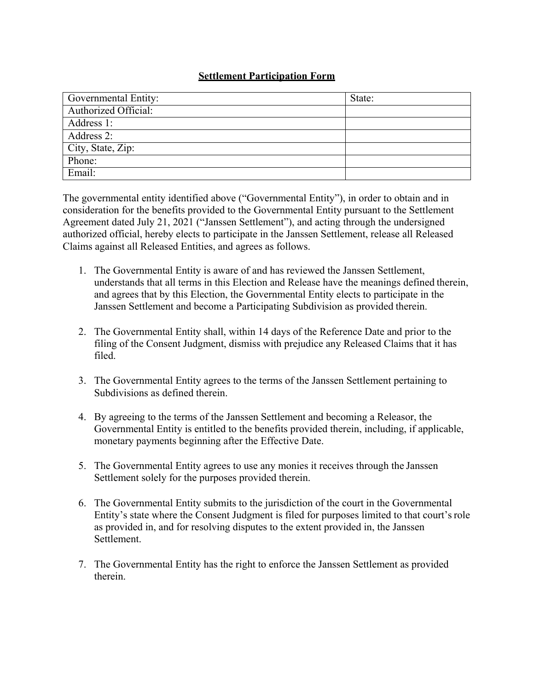## **Settlement Participation Form**

| Governmental Entity: | State: |
|----------------------|--------|
| Authorized Official: |        |
| Address 1:           |        |
| Address 2:           |        |
| City, State, Zip:    |        |
| Phone:               |        |
| Email:               |        |

The governmental entity identified above ("Governmental Entity"), in order to obtain and in consideration for the benefits provided to the Governmental Entity pursuant to the Settlement Agreement dated July 21, 2021 ("Janssen Settlement"), and acting through the undersigned authorized official, hereby elects to participate in the Janssen Settlement, release all Released Claims against all Released Entities, and agrees as follows.

- 1. The Governmental Entity is aware of and has reviewed the Janssen Settlement, understands that all terms in this Election and Release have the meanings defined therein, and agrees that by this Election, the Governmental Entity elects to participate in the Janssen Settlement and become a Participating Subdivision as provided therein.
- 2. The Governmental Entity shall, within 14 days of the Reference Date and prior to the filing of the Consent Judgment, dismiss with prejudice any Released Claims that it has filed.
- 3. The Governmental Entity agrees to the terms of the Janssen Settlement pertaining to Subdivisions as defined therein.
- 4. By agreeing to the terms of the Janssen Settlement and becoming a Releasor, the Governmental Entity is entitled to the benefits provided therein, including, if applicable, monetary payments beginning after the Effective Date.
- 5. The Governmental Entity agrees to use any monies it receives through the Janssen Settlement solely for the purposes provided therein.
- 6. The Governmental Entity submits to the jurisdiction of the court in the Governmental Entity's state where the Consent Judgment is filed for purposes limited to that court's role as provided in, and for resolving disputes to the extent provided in, the Janssen Settlement.
- 7. The Governmental Entity has the right to enforce the Janssen Settlement as provided therein.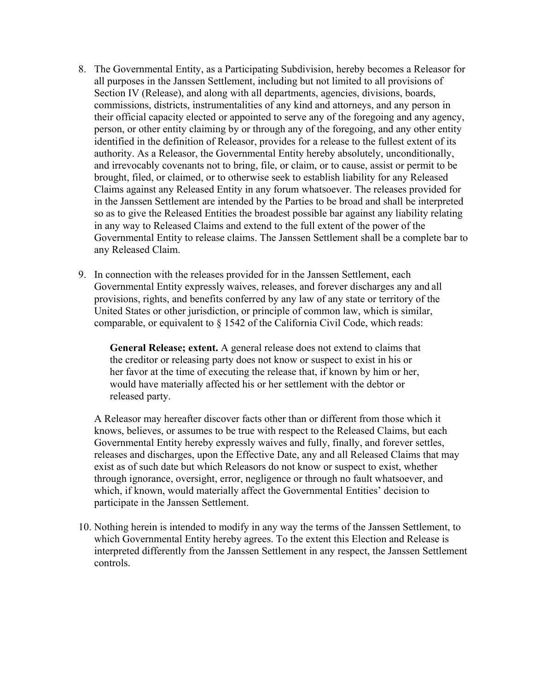- 8. The Governmental Entity, as a Participating Subdivision, hereby becomes a Releasor for all purposes in the Janssen Settlement, including but not limited to all provisions of Section IV (Release), and along with all departments, agencies, divisions, boards, commissions, districts, instrumentalities of any kind and attorneys, and any person in their official capacity elected or appointed to serve any of the foregoing and any agency, person, or other entity claiming by or through any of the foregoing, and any other entity identified in the definition of Releasor, provides for a release to the fullest extent of its authority. As a Releasor, the Governmental Entity hereby absolutely, unconditionally, and irrevocably covenants not to bring, file, or claim, or to cause, assist or permit to be brought, filed, or claimed, or to otherwise seek to establish liability for any Released Claims against any Released Entity in any forum whatsoever. The releases provided for in the Janssen Settlement are intended by the Parties to be broad and shall be interpreted so as to give the Released Entities the broadest possible bar against any liability relating in any way to Released Claims and extend to the full extent of the power of the Governmental Entity to release claims. The Janssen Settlement shall be a complete bar to any Released Claim.
- 9. In connection with the releases provided for in the Janssen Settlement, each Governmental Entity expressly waives, releases, and forever discharges any and all provisions, rights, and benefits conferred by any law of any state or territory of the United States or other jurisdiction, or principle of common law, which is similar, comparable, or equivalent to § 1542 of the California Civil Code, which reads:

**General Release; extent.** A general release does not extend to claims that the creditor or releasing party does not know or suspect to exist in his or her favor at the time of executing the release that, if known by him or her, would have materially affected his or her settlement with the debtor or released party.

A Releasor may hereafter discover facts other than or different from those which it knows, believes, or assumes to be true with respect to the Released Claims, but each Governmental Entity hereby expressly waives and fully, finally, and forever settles, releases and discharges, upon the Effective Date, any and all Released Claims that may exist as of such date but which Releasors do not know or suspect to exist, whether through ignorance, oversight, error, negligence or through no fault whatsoever, and which, if known, would materially affect the Governmental Entities' decision to participate in the Janssen Settlement.

10. Nothing herein is intended to modify in any way the terms of the Janssen Settlement, to which Governmental Entity hereby agrees. To the extent this Election and Release is interpreted differently from the Janssen Settlement in any respect, the Janssen Settlement controls.